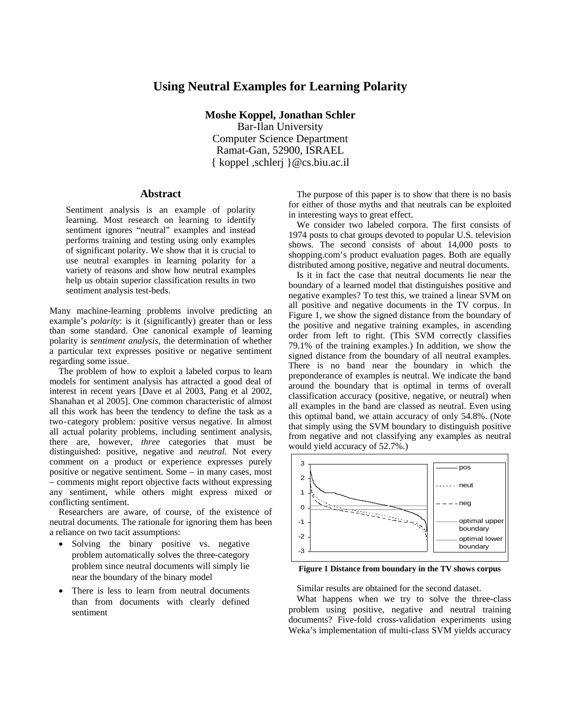## **Using Neutral Examples for Learning Polarity**

**Moshe Koppel, Jonathan Schler** 

Bar-Ilan University Computer Science Department Ramat-Gan, 52900, ISRAEL { koppel ,schlerj }@cs.biu.ac.il

## **Abstract**

Sentiment analysis is an example of polarity learning. Most research on learning to identify sentiment ignores "neutral" examples and instead performs training and testing using only examples of significant polarity. We show that it is crucial to use neutral examples in learning polarity for a variety of reasons and show how neutral examples help us obtain superior classification results in two sentiment analysis test-beds.

Many machine-learning problems involve predicting an example's *polarity*: is it (significantly) greater than or less than some standard. One canonical example of learning polarity is *sentiment analysis*, the determination of whether a particular text expresses positive or negative sentiment regarding some issue.

The problem of how to exploit a labeled corpus to learn models for sentiment analysis has attracted a good deal of interest in recent years [Dave et al 2003, Pang et al 2002, Shanahan et al 2005]. One common characteristic of almost all this work has been the tendency to define the task as a two-category problem: positive versus negative. In almost all actual polarity problems, including sentiment analysis, there are, however, *three* categories that must be distinguished: positive, negative and *neutral.* Not every comment on a product or experience expresses purely positive or negative sentiment. Some – in many cases, most – comments might report objective facts without expressing any sentiment, while others might express mixed or conflicting sentiment.

Researchers are aware, of course, of the existence of neutral documents. The rationale for ignoring them has been a reliance on two tacit assumptions:

- Solving the binary positive vs. negative problem automatically solves the three-category problem since neutral documents will simply lie near the boundary of the binary model
- There is less to learn from neutral documents than from documents with clearly defined sentiment

The purpose of this paper is to show that there is no basis for either of those myths and that neutrals can be exploited in interesting ways to great effect.

We consider two labeled corpora. The first consists of 1974 posts to chat groups devoted to popular U.S. television shows. The second consists of about 14,000 posts to shopping.com's product evaluation pages. Both are equally distributed among positive, negative and neutral documents.

Is it in fact the case that neutral documents lie near the boundary of a learned model that distinguishes positive and negative examples? To test this, we trained a linear SVM on all positive and negative documents in the TV corpus. In Figure 1, we show the signed distance from the boundary of the positive and negative training examples, in ascending order from left to right. (This SVM correctly classifies 79.1% of the training examples.) In addition, we show the signed distance from the boundary of all neutral examples. There is no band near the boundary in which the preponderance of examples is neutral. We indicate the band around the boundary that is optimal in terms of overall classification accuracy (positive, negative, or neutral) when all examples in the band are classed as neutral. Even using this optimal band, we attain accuracy of only 54.8%. (Note that simply using the SVM boundary to distinguish positive from negative and not classifying any examples as neutral would yield accuracy of 52.7%.)



**Figure 1 Distance from boundary in the TV shows corpus** 

Similar results are obtained for the second dataset.

What happens when we try to solve the three-class problem using positive, negative and neutral training documents? Five-fold cross-validation experiments using Weka's implementation of multi-class SVM yields accuracy